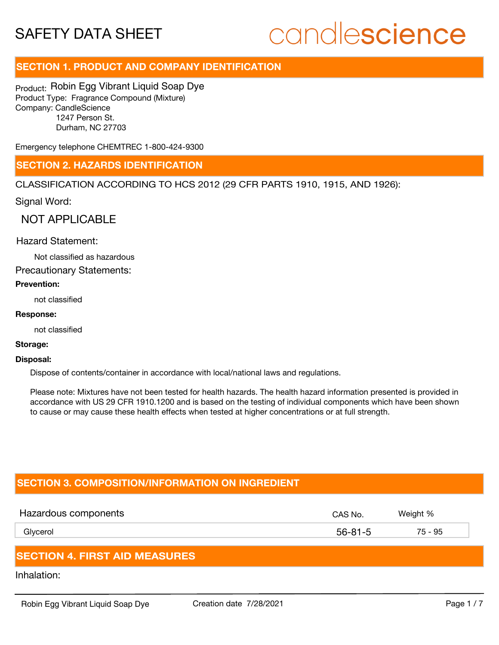## candlescience

### **SECTION 1. PRODUCT AND COMPANY IDENTIFICATION**

Product: Robin Egg Vibrant Liquid Soap Dye Product Type: Fragrance Compound (Mixture) Company: CandleScience 1247 Person St. Durham, NC 27703

Emergency telephone CHEMTREC 1-800-424-9300

### **SECTION 2. HAZARDS IDENTIFICATION**

CLASSIFICATION ACCORDING TO HCS 2012 (29 CFR PARTS 1910, 1915, AND 1926):

Signal Word:

NOT APPLICABLE

### Hazard Statement:

Not classified as hazardous

Precautionary Statements:

### **Prevention:**

not classified

### **Response:**

not classified

### **Storage:**

#### **Disposal:**

Dispose of contents/container in accordance with local/national laws and regulations.

Please note: Mixtures have not been tested for health hazards. The health hazard information presented is provided in accordance with US 29 CFR 1910.1200 and is based on the testing of individual components which have been shown to cause or may cause these health effects when tested at higher concentrations or at full strength.

### **SECTION 3. COMPOSITION/INFORMATION ON INGREDIENT**

| Hazardous components | CAS No.       | Weight % |
|----------------------|---------------|----------|
| Glycerol             | $56 - 81 - 5$ | 75 - 95  |
|                      |               |          |

### **SECTION 4. FIRST AID MEASURES**

Inhalation: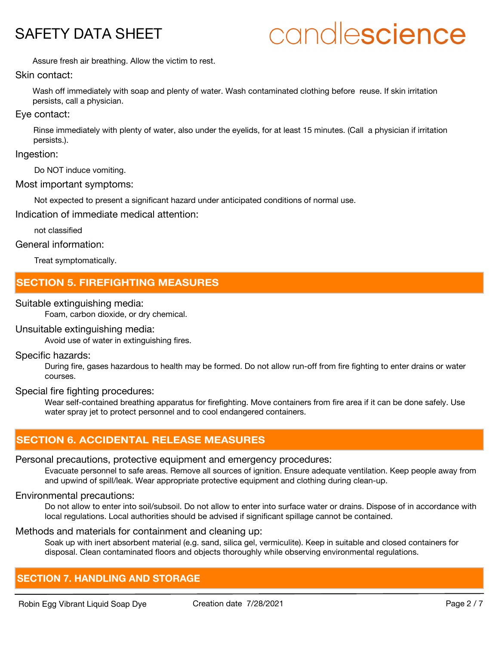## candlescience

Assure fresh air breathing. Allow the victim to rest.

### Skin contact:

Wash off immediately with soap and plenty of water. Wash contaminated clothing before reuse. If skin irritation persists, call a physician.

### Eye contact:

Rinse immediately with plenty of water, also under the eyelids, for at least 15 minutes. (Call a physician if irritation persists.).

### Ingestion:

Do NOT induce vomiting.

### Most important symptoms:

Not expected to present a significant hazard under anticipated conditions of normal use.

Indication of immediate medical attention:

not classified

### General information:

Treat symptomatically.

### **SECTION 5. FIREFIGHTING MEASURES**

### Suitable extinguishing media:

Foam, carbon dioxide, or dry chemical.

### Unsuitable extinguishing media:

Avoid use of water in extinguishing fires.

### Specific hazards:

During fire, gases hazardous to health may be formed. Do not allow run-off from fire fighting to enter drains or water courses.

### Special fire fighting procedures:

Wear self-contained breathing apparatus for firefighting. Move containers from fire area if it can be done safely. Use water spray jet to protect personnel and to cool endangered containers.

### **SECTION 6. ACCIDENTAL RELEASE MEASURES**

### Personal precautions, protective equipment and emergency procedures:

Evacuate personnel to safe areas. Remove all sources of ignition. Ensure adequate ventilation. Keep people away from and upwind of spill/leak. Wear appropriate protective equipment and clothing during clean-up.

### Environmental precautions:

Do not allow to enter into soil/subsoil. Do not allow to enter into surface water or drains. Dispose of in accordance with local regulations. Local authorities should be advised if significant spillage cannot be contained.

### Methods and materials for containment and cleaning up:

Soak up with inert absorbent material (e.g. sand, silica gel, vermiculite). Keep in suitable and closed containers for disposal. Clean contaminated floors and objects thoroughly while observing environmental regulations.

### **SECTION 7. HANDLING AND STORAGE**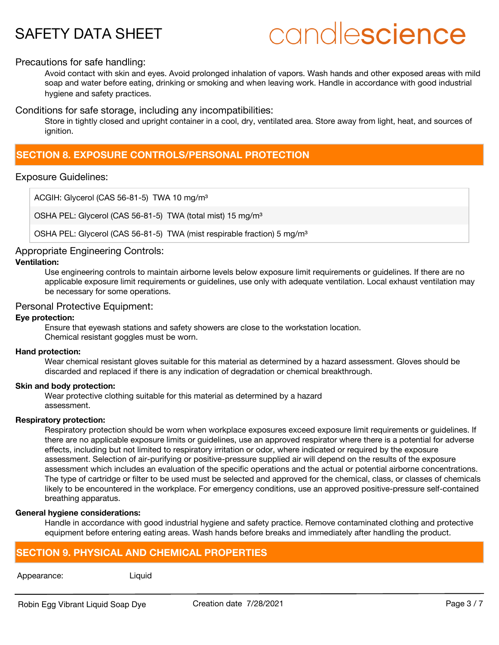## candlescience

### Precautions for safe handling:

Avoid contact with skin and eyes. Avoid prolonged inhalation of vapors. Wash hands and other exposed areas with mild soap and water before eating, drinking or smoking and when leaving work. Handle in accordance with good industrial hygiene and safety practices.

Conditions for safe storage, including any incompatibilities:

Store in tightly closed and upright container in a cool, dry, ventilated area. Store away from light, heat, and sources of ignition.

### **SECTION 8. EXPOSURE CONTROLS/PERSONAL PROTECTION**

### Exposure Guidelines:

ACGIH: Glycerol (CAS 56-81-5) TWA 10 mg/m<sup>3</sup>

OSHA PEL: Glycerol (CAS 56-81-5) TWA (total mist) 15 mg/m<sup>3</sup>

OSHA PEL: Glycerol (CAS 56-81-5) TWA (mist respirable fraction) 5 mg/m<sup>3</sup>

### Appropriate Engineering Controls:

### **Ventilation:**

Use engineering controls to maintain airborne levels below exposure limit requirements or guidelines. If there are no applicable exposure limit requirements or guidelines, use only with adequate ventilation. Local exhaust ventilation may be necessary for some operations.

### Personal Protective Equipment:

### **Eye protection:**

Ensure that eyewash stations and safety showers are close to the workstation location. Chemical resistant goggles must be worn.

### **Hand protection:**

Wear chemical resistant gloves suitable for this material as determined by a hazard assessment. Gloves should be discarded and replaced if there is any indication of degradation or chemical breakthrough.

### **Skin and body protection:**

Wear protective clothing suitable for this material as determined by a hazard assessment.

### **Respiratory protection:**

Respiratory protection should be worn when workplace exposures exceed exposure limit requirements or guidelines. If there are no applicable exposure limits or guidelines, use an approved respirator where there is a potential for adverse effects, including but not limited to respiratory irritation or odor, where indicated or required by the exposure assessment. Selection of air-purifying or positive-pressure supplied air will depend on the results of the exposure assessment which includes an evaluation of the specific operations and the actual or potential airborne concentrations. The type of cartridge or filter to be used must be selected and approved for the chemical, class, or classes of chemicals likely to be encountered in the workplace. For emergency conditions, use an approved positive-pressure self-contained breathing apparatus.

### **General hygiene considerations:**

Handle in accordance with good industrial hygiene and safety practice. Remove contaminated clothing and protective equipment before entering eating areas. Wash hands before breaks and immediately after handling the product.

### **SECTION 9. PHYSICAL AND CHEMICAL PROPERTIES**

### Appearance: Liquid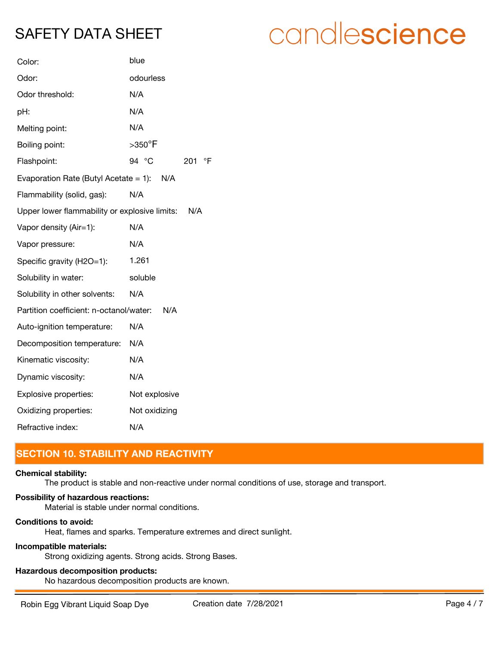| Color:                                        | blue                         |  |  |  |  |  |  |  |  |  |
|-----------------------------------------------|------------------------------|--|--|--|--|--|--|--|--|--|
| Odor:                                         | odourless                    |  |  |  |  |  |  |  |  |  |
| Odor threshold:                               | N/A                          |  |  |  |  |  |  |  |  |  |
| pH:                                           | N/A                          |  |  |  |  |  |  |  |  |  |
| Melting point:                                | N/A                          |  |  |  |  |  |  |  |  |  |
| Boiling point:                                | $>$ 350 $\mathrm{^{\circ}F}$ |  |  |  |  |  |  |  |  |  |
| Flashpoint:                                   | 94 °C<br>$\mathsf{P}$<br>201 |  |  |  |  |  |  |  |  |  |
| Evaporation Rate (Butyl Acetate = 1): N/A     |                              |  |  |  |  |  |  |  |  |  |
| Flammability (solid, gas):                    | N/A                          |  |  |  |  |  |  |  |  |  |
| Upper lower flammability or explosive limits: | N/A                          |  |  |  |  |  |  |  |  |  |
| Vapor density (Air=1):                        | N/A                          |  |  |  |  |  |  |  |  |  |
| Vapor pressure:                               | N/A                          |  |  |  |  |  |  |  |  |  |
| Specific gravity (H2O=1):                     | 1.261                        |  |  |  |  |  |  |  |  |  |
| Solubility in water:                          | soluble                      |  |  |  |  |  |  |  |  |  |
| Solubility in other solvents:                 | N/A                          |  |  |  |  |  |  |  |  |  |
| Partition coefficient: n-octanol/water:       | N/A                          |  |  |  |  |  |  |  |  |  |
| Auto-ignition temperature:                    | N/A                          |  |  |  |  |  |  |  |  |  |
| Decomposition temperature:                    | N/A                          |  |  |  |  |  |  |  |  |  |
| Kinematic viscosity:                          | N/A                          |  |  |  |  |  |  |  |  |  |
| Dynamic viscosity:                            | N/A                          |  |  |  |  |  |  |  |  |  |
| Explosive properties:                         | Not explosive                |  |  |  |  |  |  |  |  |  |
| Oxidizing properties:                         | Not oxidizing                |  |  |  |  |  |  |  |  |  |
| Refractive index:                             | N/A                          |  |  |  |  |  |  |  |  |  |

### **SECTION 10. STABILITY AND REACTIVITY**

### **Chemical stability:**

The product is stable and non-reactive under normal conditions of use, storage and transport.

### **Possibility of hazardous reactions:**

Material is stable under normal conditions.

### **Conditions to avoid:**

Heat, flames and sparks. Temperature extremes and direct sunlight.

### **Incompatible materials:**

Strong oxidizing agents. Strong acids. Strong Bases.

### **Hazardous decomposition products:**

No hazardous decomposition products are known.

candlescience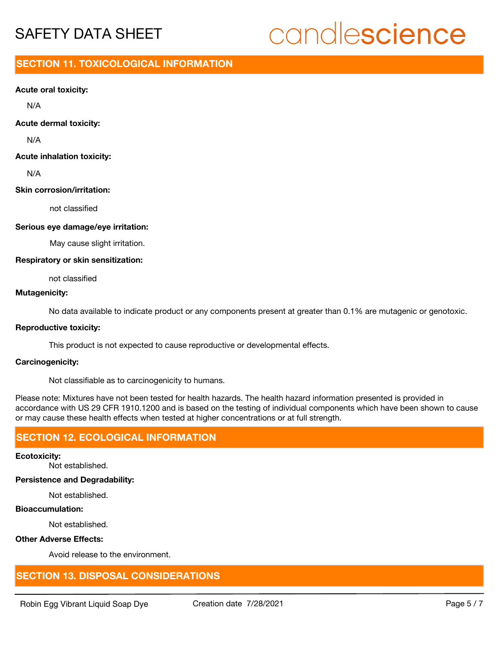# candlescience

### **SECTION 11. TOXICOLOGICAL INFORMATION**

### **Acute oral toxicity:**

N/A

### **Acute dermal toxicity:**

N/A

### **Acute inhalation toxicity:**

N/A

### **Skin corrosion/irritation:**

not classified

### **Serious eye damage/eye irritation:**

May cause slight irritation.

### **Respiratory or skin sensitization:**

not classified

### **Mutagenicity:**

No data available to indicate product or any components present at greater than 0.1% are mutagenic or genotoxic.

### **Reproductive toxicity:**

This product is not expected to cause reproductive or developmental effects.

### **Carcinogenicity:**

Not classifiable as to carcinogenicity to humans.

Please note: Mixtures have not been tested for health hazards. The health hazard information presented is provided in accordance with US 29 CFR 1910.1200 and is based on the testing of individual components which have been shown to cause or may cause these health effects when tested at higher concentrations or at full strength.

### **SECTION 12. ECOLOGICAL INFORMATION**

### **Ecotoxicity:**

Not established.

### **Persistence and Degradability:**

Not established.

### **Bioaccumulation:**

Not established.

### **Other Adverse Effects:**

Avoid release to the environment.

### **SECTION 13. DISPOSAL CONSIDERATIONS**